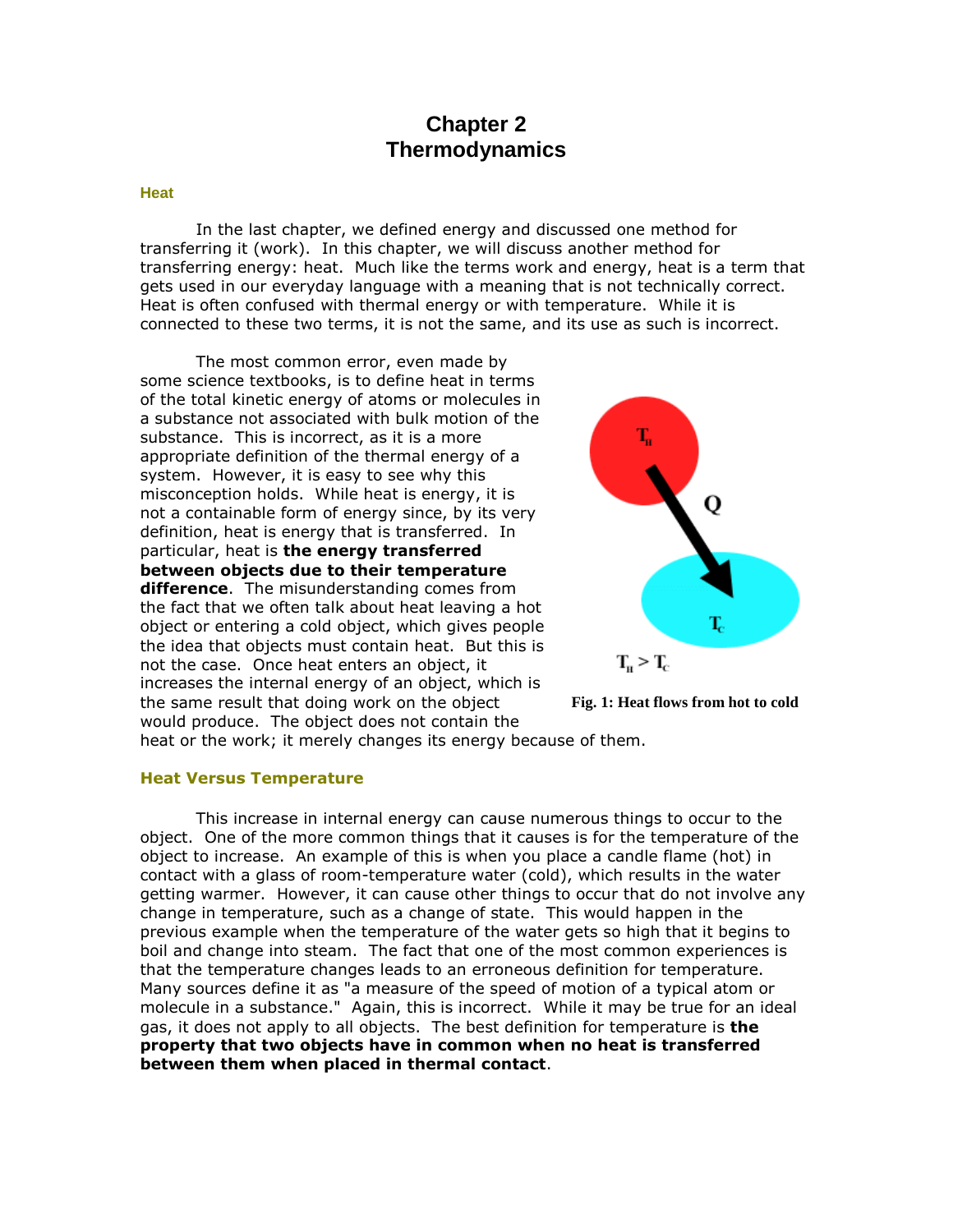# **Chapter 2 Thermodynamics**

#### **Heat**

In the last chapter, we defined energy and discussed one method for transferring it (work). In this chapter, we will discuss another method for transferring energy: heat. Much like the terms work and energy, heat is a term that gets used in our everyday language with a meaning that is not technically correct. Heat is often confused with thermal energy or with temperature. While it is connected to these two terms, it is not the same, and its use as such is incorrect.

The most common error, even made by some science textbooks, is to define heat in terms of the total kinetic energy of atoms or molecules in a substance not associated with bulk motion of the substance. This is incorrect, as it is a more appropriate definition of the thermal energy of a system. However, it is easy to see why this misconception holds. While heat is energy, it is not a containable form of energy since, by its very definition, heat is energy that is transferred. In particular, heat is **the energy transferred between objects due to their temperature difference**. The misunderstanding comes from the fact that we often talk about heat leaving a hot object or entering a cold object, which gives people the idea that objects must contain heat. But this is not the case. Once heat enters an object, it increases the internal energy of an object, which is the same result that doing work on the object would produce. The object does not contain the





heat or the work; it merely changes its energy because of them.

#### **Heat Versus Temperature**

This increase in internal energy can cause numerous things to occur to the object. One of the more common things that it causes is for the temperature of the object to increase. An example of this is when you place a candle flame (hot) in contact with a glass of room-temperature water (cold), which results in the water getting warmer. However, it can cause other things to occur that do not involve any change in temperature, such as a change of state. This would happen in the previous example when the temperature of the water gets so high that it begins to boil and change into steam. The fact that one of the most common experiences is that the temperature changes leads to an erroneous definition for temperature. Many sources define it as "a measure of the speed of motion of a typical atom or molecule in a substance." Again, this is incorrect. While it may be true for an ideal gas, it does not apply to all objects. The best definition for temperature is **the property that two objects have in common when no heat is transferred between them when placed in thermal contact**.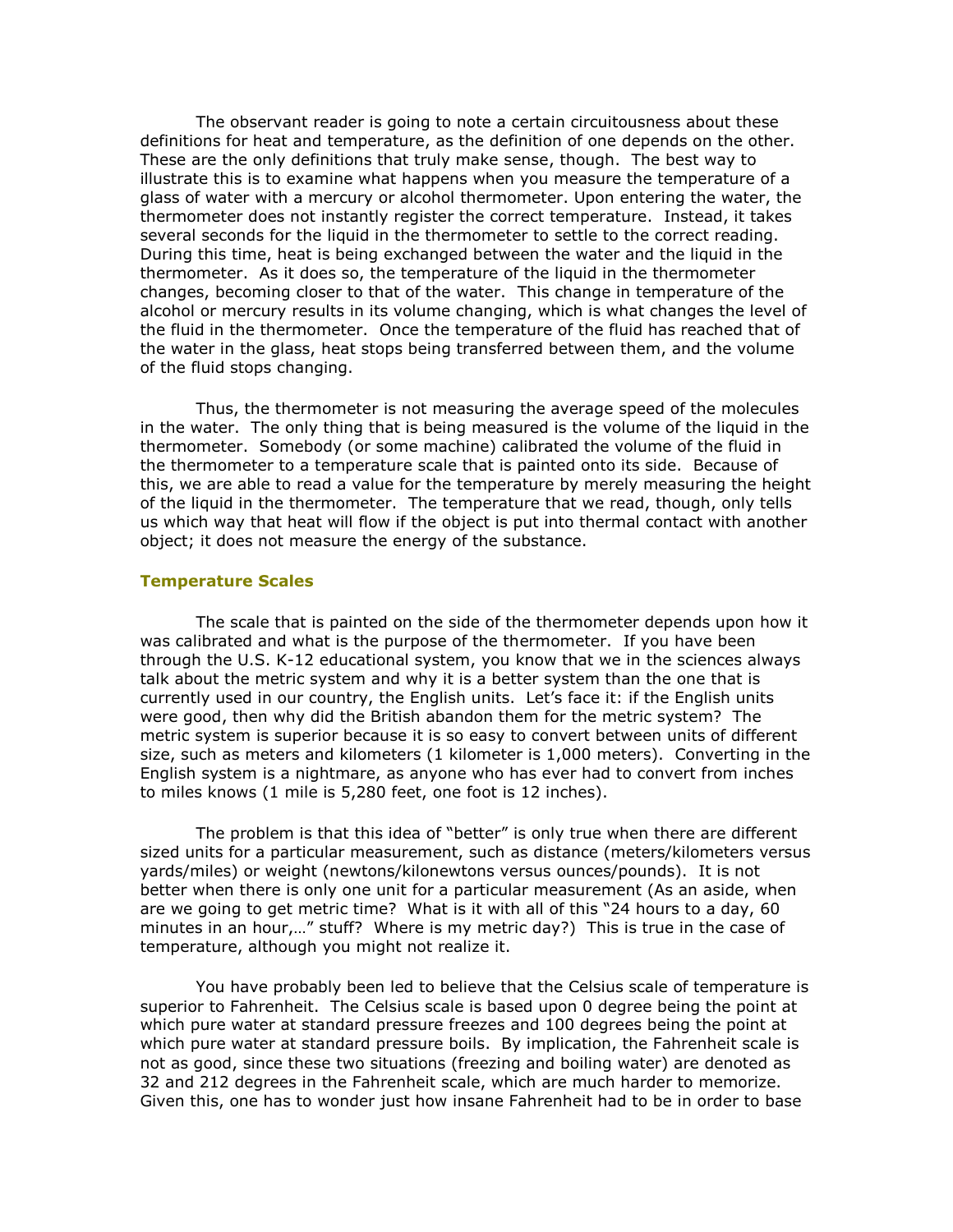The observant reader is going to note a certain circuitousness about these definitions for heat and temperature, as the definition of one depends on the other. These are the only definitions that truly make sense, though. The best way to illustrate this is to examine what happens when you measure the temperature of a glass of water with a mercury or alcohol thermometer. Upon entering the water, the thermometer does not instantly register the correct temperature. Instead, it takes several seconds for the liquid in the thermometer to settle to the correct reading. During this time, heat is being exchanged between the water and the liquid in the thermometer. As it does so, the temperature of the liquid in the thermometer changes, becoming closer to that of the water. This change in temperature of the alcohol or mercury results in its volume changing, which is what changes the level of the fluid in the thermometer. Once the temperature of the fluid has reached that of the water in the glass, heat stops being transferred between them, and the volume of the fluid stops changing.

Thus, the thermometer is not measuring the average speed of the molecules in the water. The only thing that is being measured is the volume of the liquid in the thermometer. Somebody (or some machine) calibrated the volume of the fluid in the thermometer to a temperature scale that is painted onto its side. Because of this, we are able to read a value for the temperature by merely measuring the height of the liquid in the thermometer. The temperature that we read, though, only tells us which way that heat will flow if the object is put into thermal contact with another object; it does not measure the energy of the substance.

#### **Temperature Scales**

The scale that is painted on the side of the thermometer depends upon how it was calibrated and what is the purpose of the thermometer. If you have been through the U.S. K-12 educational system, you know that we in the sciences always talk about the metric system and why it is a better system than the one that is currently used in our country, the English units. Let's face it: if the English units were good, then why did the British abandon them for the metric system? The metric system is superior because it is so easy to convert between units of different size, such as meters and kilometers (1 kilometer is 1,000 meters). Converting in the English system is a nightmare, as anyone who has ever had to convert from inches to miles knows (1 mile is 5,280 feet, one foot is 12 inches).

The problem is that this idea of "better" is only true when there are different sized units for a particular measurement, such as distance (meters/kilometers versus yards/miles) or weight (newtons/kilonewtons versus ounces/pounds). It is not better when there is only one unit for a particular measurement (As an aside, when are we going to get metric time? What is it with all of this "24 hours to a day, 60 minutes in an hour,…" stuff? Where is my metric day?) This is true in the case of temperature, although you might not realize it.

You have probably been led to believe that the Celsius scale of temperature is superior to Fahrenheit. The Celsius scale is based upon 0 degree being the point at which pure water at standard pressure freezes and 100 degrees being the point at which pure water at standard pressure boils. By implication, the Fahrenheit scale is not as good, since these two situations (freezing and boiling water) are denoted as 32 and 212 degrees in the Fahrenheit scale, which are much harder to memorize. Given this, one has to wonder just how insane Fahrenheit had to be in order to base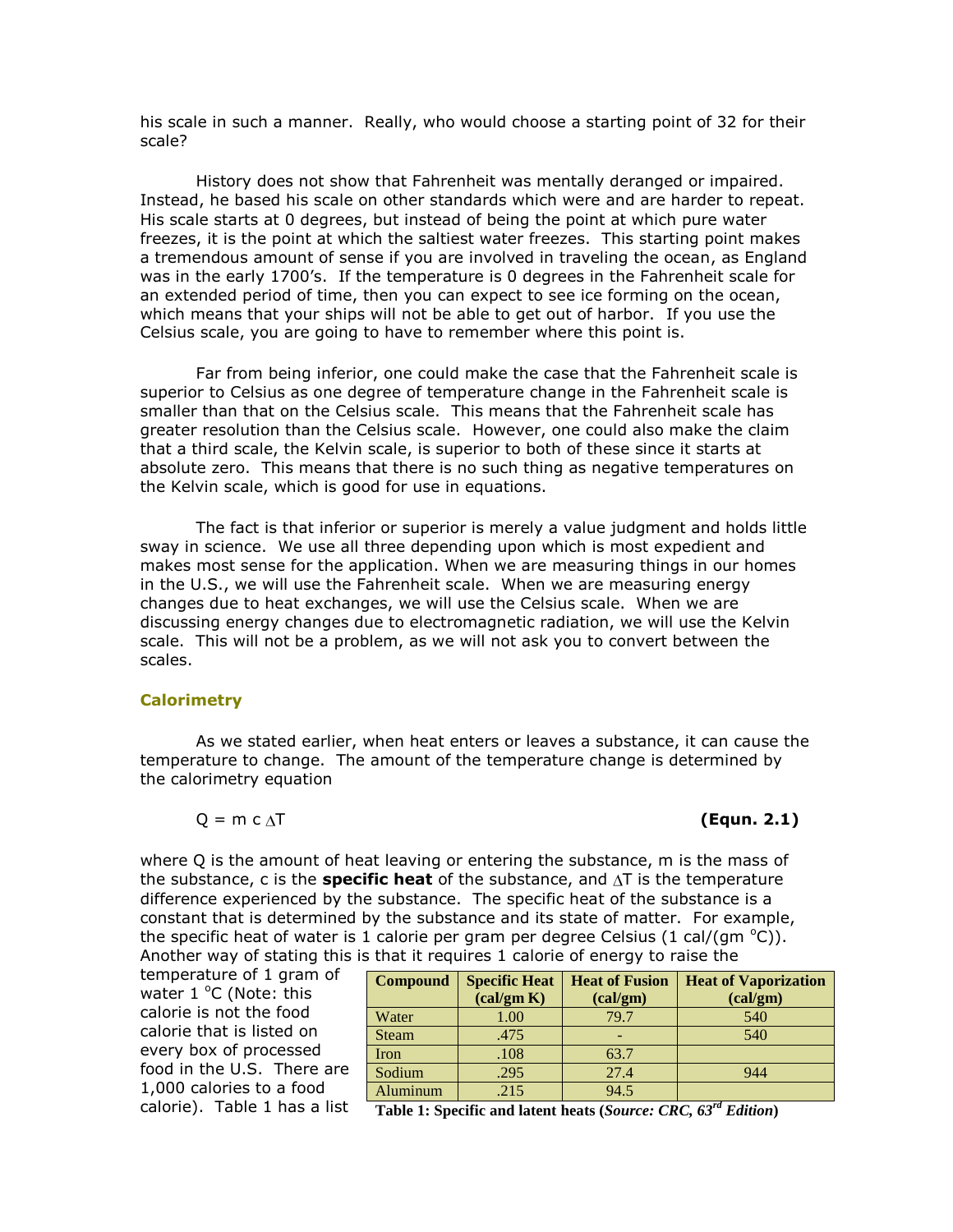his scale in such a manner. Really, who would choose a starting point of 32 for their scale?

History does not show that Fahrenheit was mentally deranged or impaired. Instead, he based his scale on other standards which were and are harder to repeat. His scale starts at 0 degrees, but instead of being the point at which pure water freezes, it is the point at which the saltiest water freezes. This starting point makes a tremendous amount of sense if you are involved in traveling the ocean, as England was in the early 1700's. If the temperature is 0 degrees in the Fahrenheit scale for an extended period of time, then you can expect to see ice forming on the ocean, which means that your ships will not be able to get out of harbor. If you use the Celsius scale, you are going to have to remember where this point is.

Far from being inferior, one could make the case that the Fahrenheit scale is superior to Celsius as one degree of temperature change in the Fahrenheit scale is smaller than that on the Celsius scale. This means that the Fahrenheit scale has greater resolution than the Celsius scale. However, one could also make the claim that a third scale, the Kelvin scale, is superior to both of these since it starts at absolute zero. This means that there is no such thing as negative temperatures on the Kelvin scale, which is good for use in equations.

The fact is that inferior or superior is merely a value judgment and holds little sway in science. We use all three depending upon which is most expedient and makes most sense for the application. When we are measuring things in our homes in the U.S., we will use the Fahrenheit scale. When we are measuring energy changes due to heat exchanges, we will use the Celsius scale. When we are discussing energy changes due to electromagnetic radiation, we will use the Kelvin scale. This will not be a problem, as we will not ask you to convert between the scales.

#### **Calorimetry**

As we stated earlier, when heat enters or leaves a substance, it can cause the temperature to change. The amount of the temperature change is determined by the calorimetry equation

$$
Q = m c \Delta T
$$

#### Q = m c T **(Equn. 2.1)**

where Q is the amount of heat leaving or entering the substance, m is the mass of the substance, c is the **specific heat** of the substance, and  $\Delta T$  is the temperature difference experienced by the substance. The specific heat of the substance is a constant that is determined by the substance and its state of matter. For example, the specific heat of water is 1 calorie per gram per degree Celsius (1 cal/(gm  $^{\circ}$ C)). Another way of stating this is that it requires 1 calorie of energy to raise the

temperature of 1 gram of water  $1^{\circ}$ C (Note: this calorie is not the food calorie that is listed on every box of processed food in the U.S. There are 1,000 calories to a food calorie). Table 1 has a list

| <b>Specific Heat</b><br>$\left(\text{cal/gm K}\right)$ | <b>Heat of Fusion</b><br>(cal/gm) | <b>Heat of Vaporization</b><br>(cal/gm) |
|--------------------------------------------------------|-----------------------------------|-----------------------------------------|
| 1.00                                                   | 79.7                              | 540                                     |
| .475                                                   |                                   | 540                                     |
| .108                                                   | 63.7                              |                                         |
| .295                                                   | 27.4                              | 944                                     |
| .215                                                   | 94.5                              | $-1$                                    |
|                                                        |                                   |                                         |

**Table 1: Specific and latent heats (***Source: CRC, 63rd Edition***)**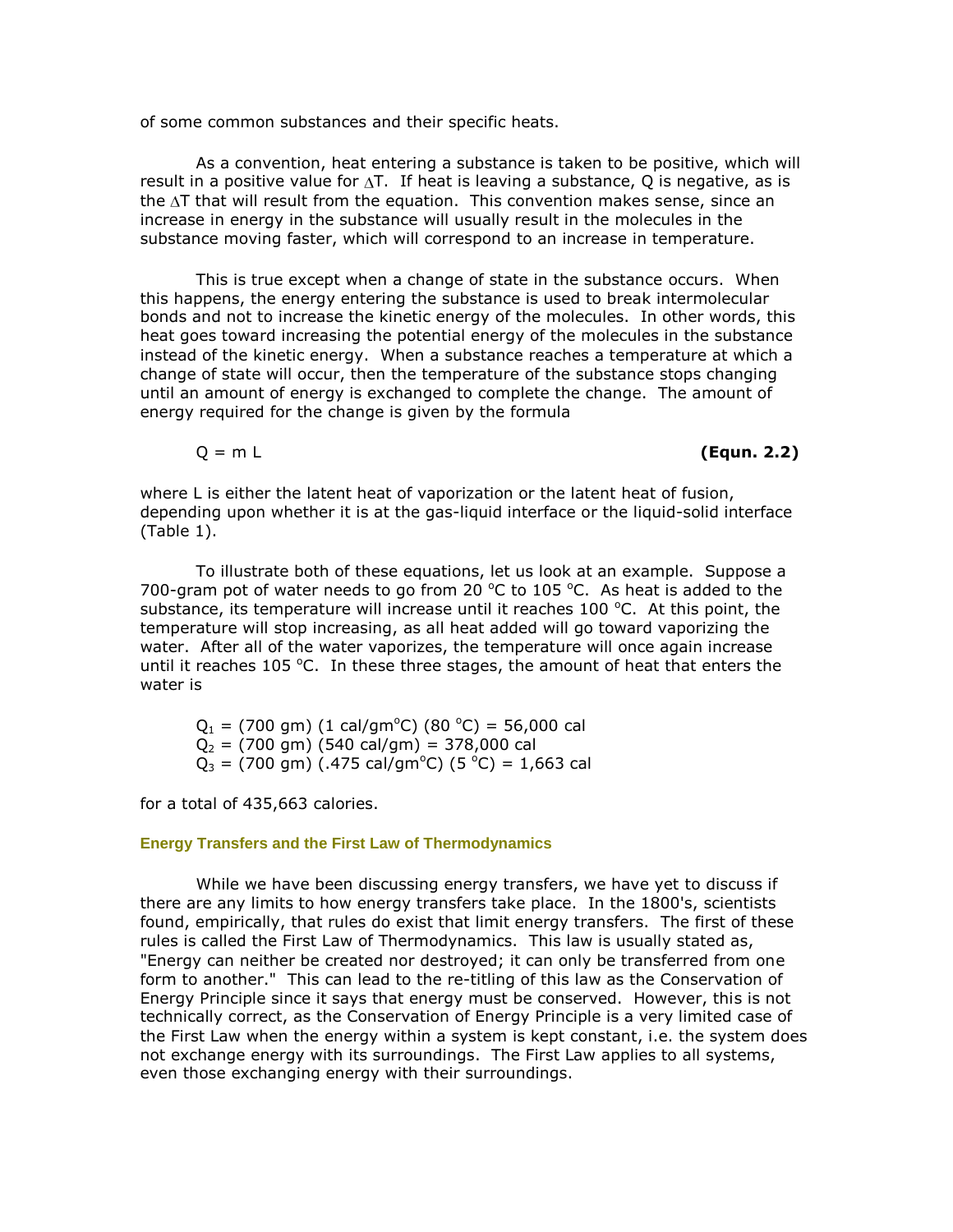of some common substances and their specific heats.

As a convention, heat entering a substance is taken to be positive, which will result in a positive value for  $\Delta T$ . If heat is leaving a substance, Q is negative, as is the  $\Delta T$  that will result from the equation. This convention makes sense, since an increase in energy in the substance will usually result in the molecules in the substance moving faster, which will correspond to an increase in temperature.

This is true except when a change of state in the substance occurs. When this happens, the energy entering the substance is used to break intermolecular bonds and not to increase the kinetic energy of the molecules. In other words, this heat goes toward increasing the potential energy of the molecules in the substance instead of the kinetic energy. When a substance reaches a temperature at which a change of state will occur, then the temperature of the substance stops changing until an amount of energy is exchanged to complete the change. The amount of energy required for the change is given by the formula

Q = m L **(Equn. 2.2)**

where L is either the latent heat of vaporization or the latent heat of fusion, depending upon whether it is at the gas-liquid interface or the liquid-solid interface (Table 1).

To illustrate both of these equations, let us look at an example. Suppose a 700-gram pot of water needs to go from 20  $^{\circ}$ C to 105  $^{\circ}$ C. As heat is added to the substance, its temperature will increase until it reaches 100  $^{\circ}$ C. At this point, the temperature will stop increasing, as all heat added will go toward vaporizing the water. After all of the water vaporizes, the temperature will once again increase until it reaches  $105 \degree C$ . In these three stages, the amount of heat that enters the water is

 $Q_1$  = (700 gm) (1 cal/gm<sup>o</sup>C) (80 <sup>o</sup>C) = 56,000 cal  $Q_2$  = (700 gm) (540 cal/gm) = 378,000 cal  $Q_3 = (700 \text{ gm})$  (.475 cal/gm<sup>o</sup>C) (5 <sup>o</sup>C) = 1,663 cal

for a total of 435,663 calories.

#### **Energy Transfers and the First Law of Thermodynamics**

While we have been discussing energy transfers, we have yet to discuss if there are any limits to how energy transfers take place. In the 1800's, scientists found, empirically, that rules do exist that limit energy transfers. The first of these rules is called the First Law of Thermodynamics. This law is usually stated as, "Energy can neither be created nor destroyed; it can only be transferred from one form to another." This can lead to the re-titling of this law as the Conservation of Energy Principle since it says that energy must be conserved. However, this is not technically correct, as the Conservation of Energy Principle is a very limited case of the First Law when the energy within a system is kept constant, i.e. the system does not exchange energy with its surroundings. The First Law applies to all systems, even those exchanging energy with their surroundings.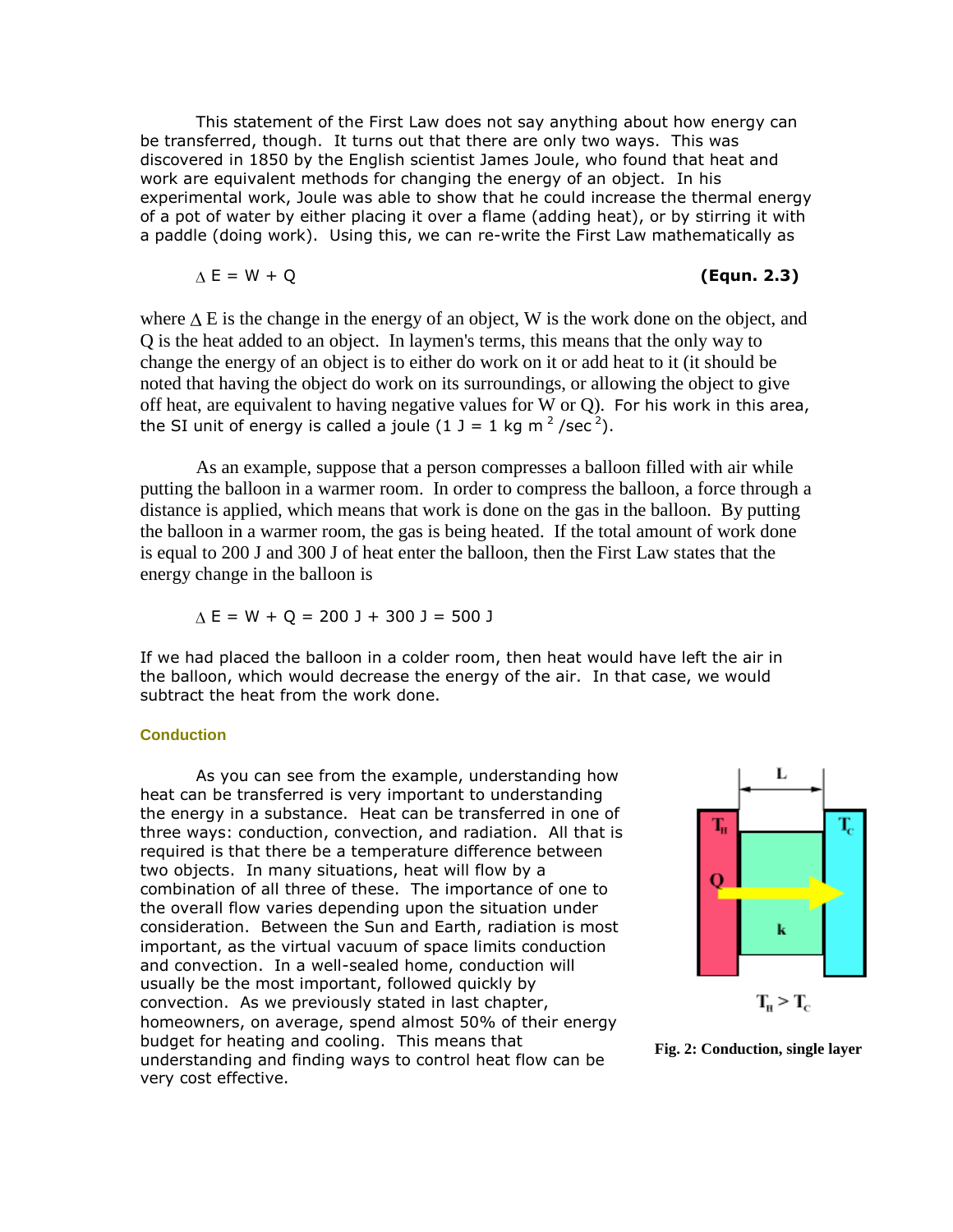This statement of the First Law does not say anything about how energy can be transferred, though. It turns out that there are only two ways. This was discovered in 1850 by the English scientist James Joule, who found that heat and work are equivalent methods for changing the energy of an object. In his experimental work, Joule was able to show that he could increase the thermal energy of a pot of water by either placing it over a flame (adding heat), or by stirring it with a paddle (doing work). Using this, we can re-write the First Law mathematically as

$$
\Delta E = W + Q \tag{Equn. 2.3}
$$

where  $\Delta E$  is the change in the energy of an object, W is the work done on the object, and Q is the heat added to an object. In laymen's terms, this means that the only way to change the energy of an object is to either do work on it or add heat to it (it should be noted that having the object do work on its surroundings, or allowing the object to give off heat, are equivalent to having negative values for W or Q). For his work in this area, the SI unit of energy is called a joule  $(1 \text{ J} = 1 \text{ kg m}^2/\text{sec}^2)$ .

As an example, suppose that a person compresses a balloon filled with air while putting the balloon in a warmer room. In order to compress the balloon, a force through a distance is applied, which means that work is done on the gas in the balloon. By putting the balloon in a warmer room, the gas is being heated. If the total amount of work done is equal to 200 J and 300 J of heat enter the balloon, then the First Law states that the energy change in the balloon is

$$
\Delta E = W + Q = 200 \text{ J} + 300 \text{ J} = 500 \text{ J}
$$

If we had placed the balloon in a colder room, then heat would have left the air in the balloon, which would decrease the energy of the air. In that case, we would subtract the heat from the work done.

#### **Conduction**

As you can see from the example, understanding how heat can be transferred is very important to understanding the energy in a substance. Heat can be transferred in one of three ways: conduction, convection, and radiation. All that is required is that there be a temperature difference between two objects. In many situations, heat will flow by a combination of all three of these. The importance of one to the overall flow varies depending upon the situation under consideration. Between the Sun and Earth, radiation is most important, as the virtual vacuum of space limits conduction and convection. In a well-sealed home, conduction will usually be the most important, followed quickly by convection. As we previously stated in last chapter, homeowners, on average, spend almost 50% of their energy budget for heating and cooling. This means that understanding and finding ways to control heat flow can be very cost effective.



**Fig. 2: Conduction, single layer**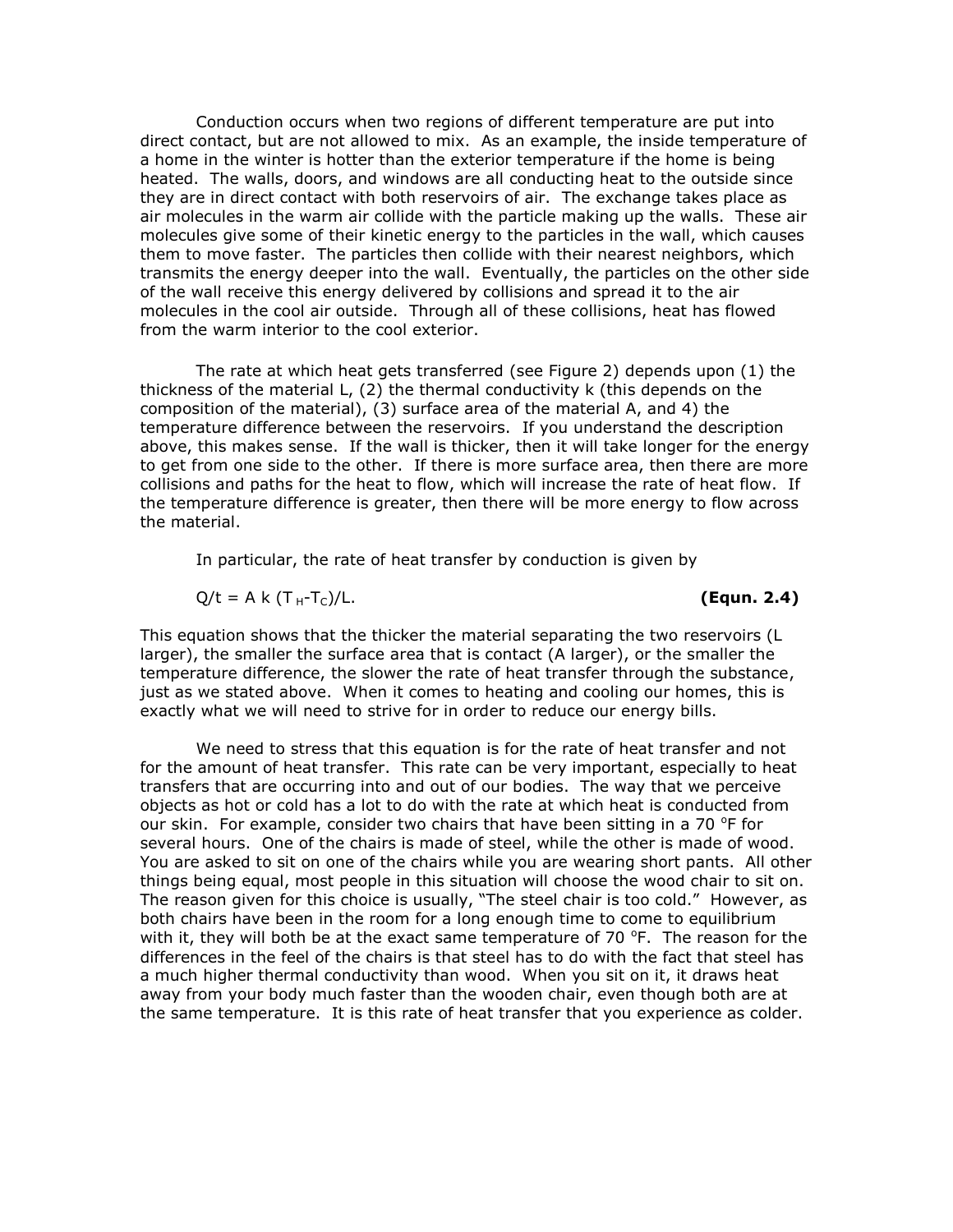Conduction occurs when two regions of different temperature are put into direct contact, but are not allowed to mix. As an example, the inside temperature of a home in the winter is hotter than the exterior temperature if the home is being heated. The walls, doors, and windows are all conducting heat to the outside since they are in direct contact with both reservoirs of air. The exchange takes place as air molecules in the warm air collide with the particle making up the walls. These air molecules give some of their kinetic energy to the particles in the wall, which causes them to move faster. The particles then collide with their nearest neighbors, which transmits the energy deeper into the wall. Eventually, the particles on the other side of the wall receive this energy delivered by collisions and spread it to the air molecules in the cool air outside. Through all of these collisions, heat has flowed from the warm interior to the cool exterior.

The rate at which heat gets transferred (see Figure 2) depends upon (1) the thickness of the material L, (2) the thermal conductivity k (this depends on the composition of the material), (3) surface area of the material A, and 4) the temperature difference between the reservoirs. If you understand the description above, this makes sense. If the wall is thicker, then it will take longer for the energy to get from one side to the other. If there is more surface area, then there are more collisions and paths for the heat to flow, which will increase the rate of heat flow. If the temperature difference is greater, then there will be more energy to flow across the material.

In particular, the rate of heat transfer by conduction is given by

$$
Q/t = A k (T_H-T_C)/L.
$$

#### (Equn. 2.4)

This equation shows that the thicker the material separating the two reservoirs (L larger), the smaller the surface area that is contact (A larger), or the smaller the temperature difference, the slower the rate of heat transfer through the substance, just as we stated above. When it comes to heating and cooling our homes, this is exactly what we will need to strive for in order to reduce our energy bills.

We need to stress that this equation is for the rate of heat transfer and not for the amount of heat transfer. This rate can be very important, especially to heat transfers that are occurring into and out of our bodies. The way that we perceive objects as hot or cold has a lot to do with the rate at which heat is conducted from our skin. For example, consider two chairs that have been sitting in a 70  $\textdegree$ F for several hours. One of the chairs is made of steel, while the other is made of wood. You are asked to sit on one of the chairs while you are wearing short pants. All other things being equal, most people in this situation will choose the wood chair to sit on. The reason given for this choice is usually, "The steel chair is too cold." However, as both chairs have been in the room for a long enough time to come to equilibrium with it, they will both be at the exact same temperature of 70  $\degree$ F. The reason for the differences in the feel of the chairs is that steel has to do with the fact that steel has a much higher thermal conductivity than wood. When you sit on it, it draws heat away from your body much faster than the wooden chair, even though both are at the same temperature. It is this rate of heat transfer that you experience as colder.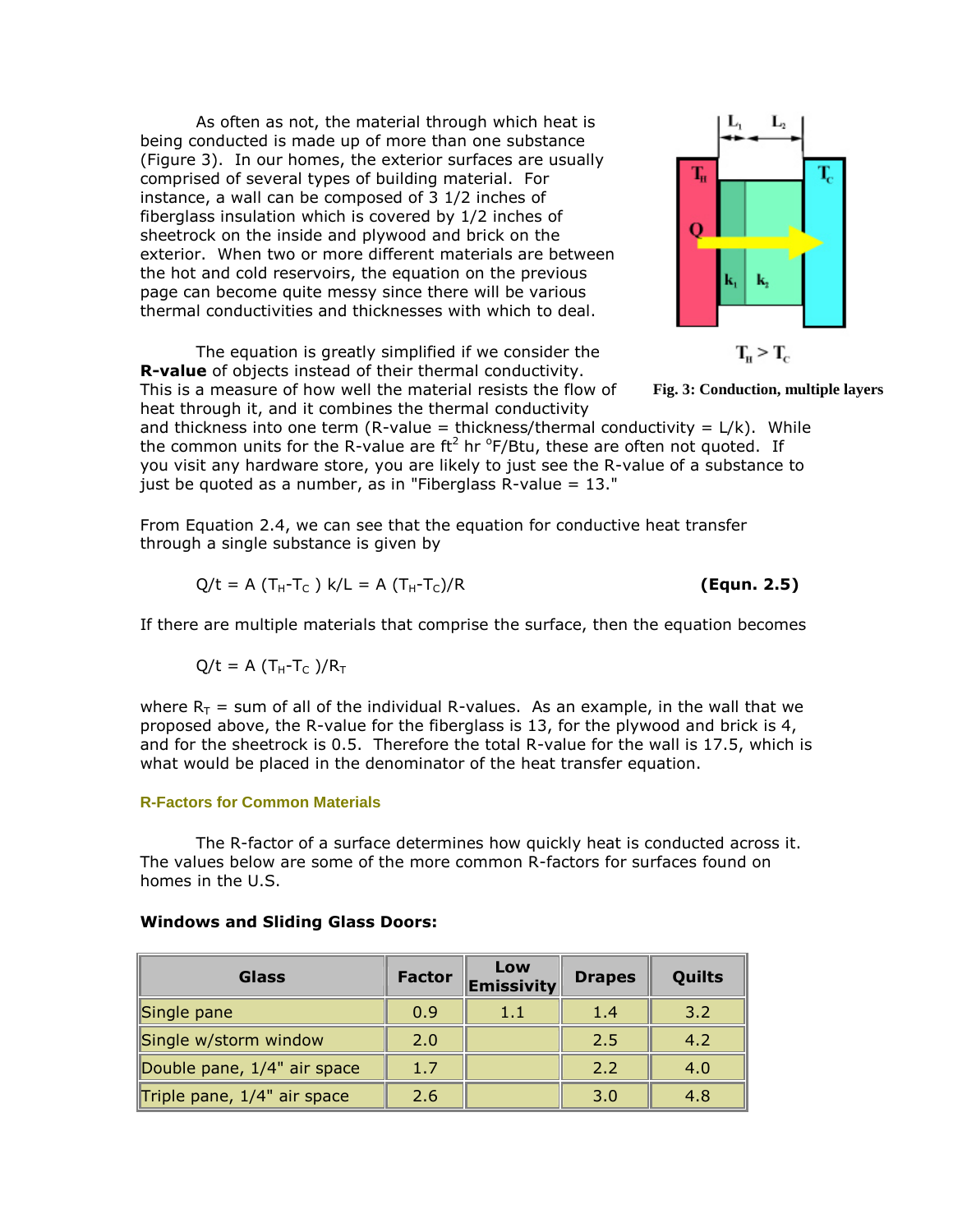As often as not, the material through which heat is being conducted is made up of more than one substance (Figure 3). In our homes, the exterior surfaces are usually comprised of several types of building material. For instance, a wall can be composed of 3 1/2 inches of fiberglass insulation which is covered by 1/2 inches of sheetrock on the inside and plywood and brick on the exterior. When two or more different materials are between the hot and cold reservoirs, the equation on the previous page can become quite messy since there will be various thermal conductivities and thicknesses with which to deal.

The equation is greatly simplified if we consider the **R-value** of objects instead of their thermal conductivity. This is a measure of how well the material resists the flow of heat through it, and it combines the thermal conductivity



$$
T_{\rm H} > T_{\rm c}
$$

**Fig. 3: Conduction, multiple layers**

and thickness into one term (R-value = thickness/thermal conductivity =  $L/k$ ). While the common units for the R-value are ft<sup>2</sup> hr  $\rm{^oF/B}$ tu, these are often not quoted. If you visit any hardware store, you are likely to just see the R-value of a substance to just be quoted as a number, as in "Fiberglass R-value = 13."

From Equation 2.4, we can see that the equation for conductive heat transfer through a single substance is given by

$$
Q/t = A (T_H - T_C) k/L = A (T_H - T_C)/R
$$
 (Equn. 2.5)

If there are multiple materials that comprise the surface, then the equation becomes

$$
Q/t = A (T_H-T_C)/R_T
$$

where  $R_T$  = sum of all of the individual R-values. As an example, in the wall that we proposed above, the R-value for the fiberglass is 13, for the plywood and brick is 4, and for the sheetrock is 0.5. Therefore the total R-value for the wall is 17.5, which is what would be placed in the denominator of the heat transfer equation.

#### **R-Factors for Common Materials**

The R-factor of a surface determines how quickly heat is conducted across it. The values below are some of the more common R-factors for surfaces found on homes in the U.S.

| <b>Glass</b>                   | <b>Factor</b> | Low<br><b>Emissivity</b> | <b>Drapes</b> | Quilts |
|--------------------------------|---------------|--------------------------|---------------|--------|
| Single pane                    | 0.9           | 1.1                      | 1.4           | 3.2    |
| Single w/storm window          | 2.0           |                          | 2.5           | 4.2    |
| Double pane, 1/4" air space    | 1.7           |                          | 2.2           | 4.0    |
| Triple pane, $1/4$ " air space | 2.6           |                          | 3.0           | 4.8    |

#### **Windows and Sliding Glass Doors:**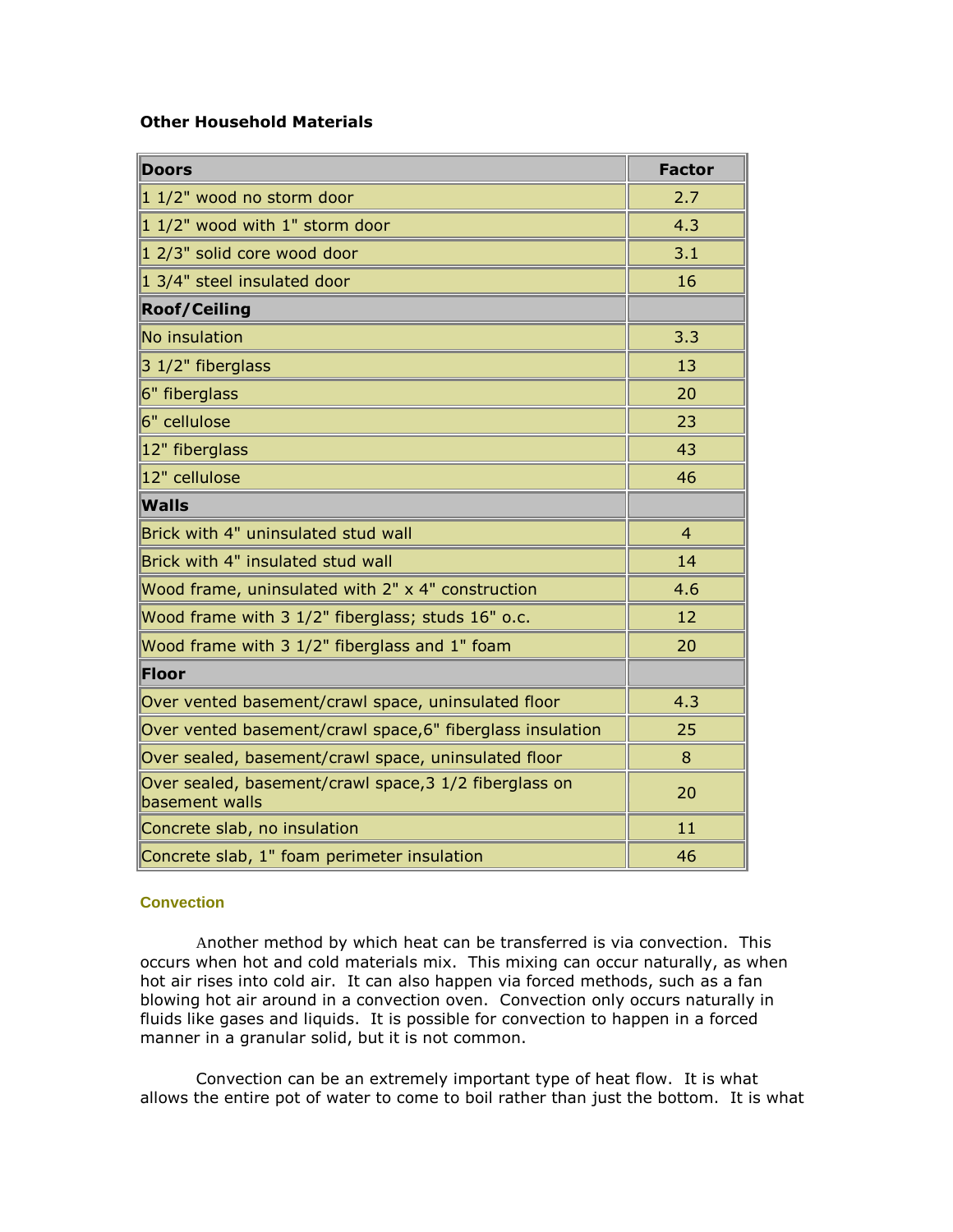# **Other Household Materials**

| <b>Doors</b>                                                             | <b>Factor</b>  |
|--------------------------------------------------------------------------|----------------|
| 1 1/2" wood no storm door                                                | 2.7            |
| 1 1/2" wood with 1" storm door                                           | 4.3            |
| 1 2/3" solid core wood door                                              | 3.1            |
| 1 3/4" steel insulated door                                              | 16             |
| <b>Roof/Ceiling</b>                                                      |                |
| No insulation                                                            | 3.3            |
| 3 1/2" fiberglass                                                        | 13             |
| 6" fiberglass                                                            | 20             |
| 6" cellulose                                                             | 23             |
| 12" fiberglass                                                           | 43             |
| 12" cellulose                                                            | 46             |
| <b>Walls</b>                                                             |                |
| Brick with 4" uninsulated stud wall                                      | $\overline{4}$ |
| Brick with 4" insulated stud wall                                        | 14             |
| Wood frame, uninsulated with 2" x 4" construction                        | 4.6            |
| Wood frame with 3 1/2" fiberglass; studs 16" o.c.                        | 12             |
| Wood frame with 3 1/2" fiberglass and 1" foam                            | 20             |
| <b>Floor</b>                                                             |                |
| Over vented basement/crawl space, uninsulated floor                      | 4.3            |
| Over vented basement/crawl space, 6" fiberglass insulation               | 25             |
| Over sealed, basement/crawl space, uninsulated floor                     | 8              |
| Over sealed, basement/crawl space, 3 1/2 fiberglass on<br>basement walls | 20             |
| Concrete slab, no insulation                                             | 11             |
| Concrete slab, 1" foam perimeter insulation                              | 46             |

## **Convection**

Another method by which heat can be transferred is via convection. This occurs when hot and cold materials mix. This mixing can occur naturally, as when hot air rises into cold air. It can also happen via forced methods, such as a fan blowing hot air around in a convection oven. Convection only occurs naturally in fluids like gases and liquids. It is possible for convection to happen in a forced manner in a granular solid, but it is not common.

Convection can be an extremely important type of heat flow. It is what allows the entire pot of water to come to boil rather than just the bottom. It is what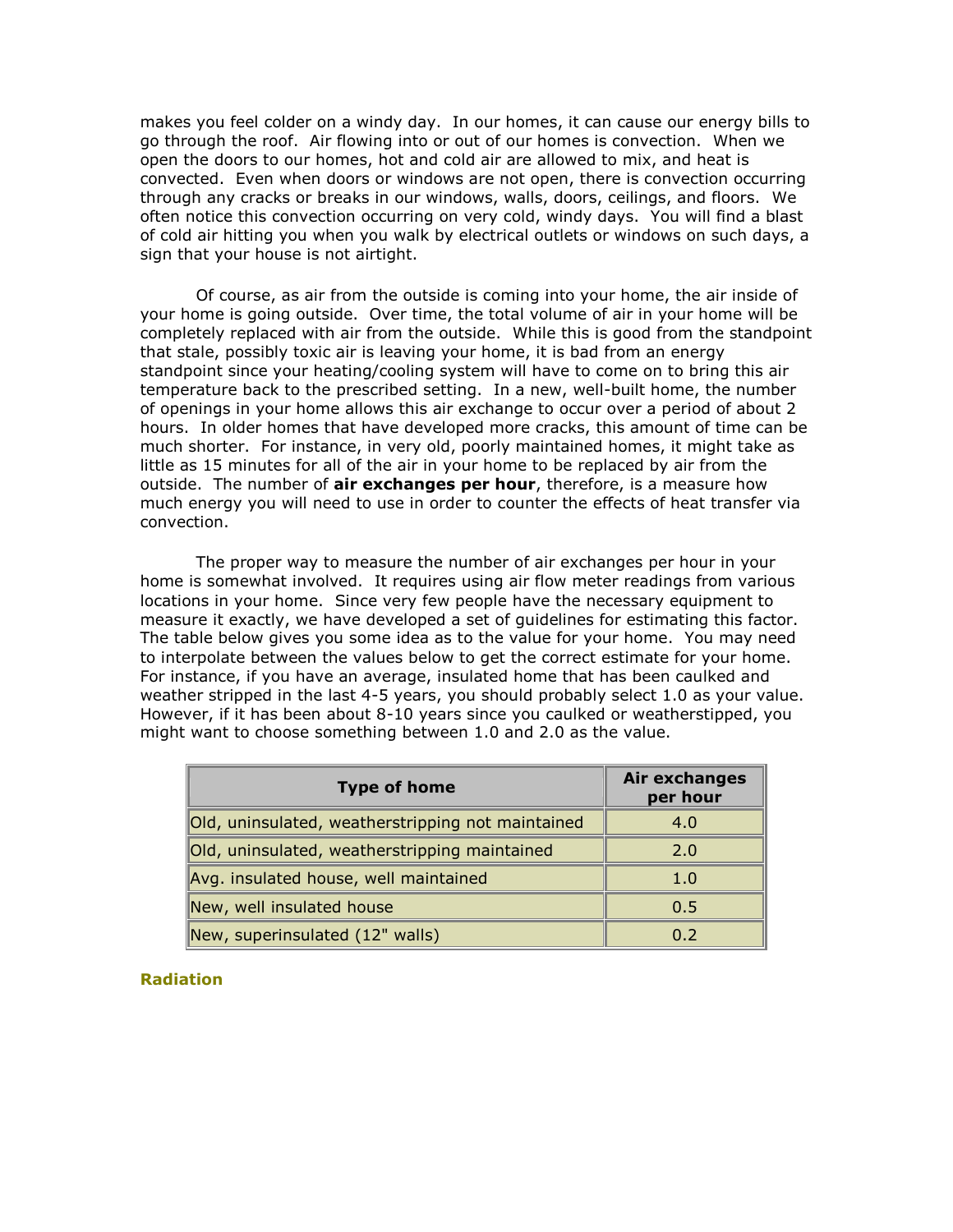makes you feel colder on a windy day. In our homes, it can cause our energy bills to go through the roof. Air flowing into or out of our homes is convection. When we open the doors to our homes, hot and cold air are allowed to mix, and heat is convected. Even when doors or windows are not open, there is convection occurring through any cracks or breaks in our windows, walls, doors, ceilings, and floors. We often notice this convection occurring on very cold, windy days. You will find a blast of cold air hitting you when you walk by electrical outlets or windows on such days, a sign that your house is not airtight.

Of course, as air from the outside is coming into your home, the air inside of your home is going outside. Over time, the total volume of air in your home will be completely replaced with air from the outside. While this is good from the standpoint that stale, possibly toxic air is leaving your home, it is bad from an energy standpoint since your heating/cooling system will have to come on to bring this air temperature back to the prescribed setting. In a new, well-built home, the number of openings in your home allows this air exchange to occur over a period of about 2 hours. In older homes that have developed more cracks, this amount of time can be much shorter. For instance, in very old, poorly maintained homes, it might take as little as 15 minutes for all of the air in your home to be replaced by air from the outside. The number of **air exchanges per hour**, therefore, is a measure how much energy you will need to use in order to counter the effects of heat transfer via convection.

The proper way to measure the number of air exchanges per hour in your home is somewhat involved. It requires using air flow meter readings from various locations in your home. Since very few people have the necessary equipment to measure it exactly, we have developed a set of guidelines for estimating this factor. The table below gives you some idea as to the value for your home. You may need to interpolate between the values below to get the correct estimate for your home. For instance, if you have an average, insulated home that has been caulked and weather stripped in the last 4-5 years, you should probably select 1.0 as your value. However, if it has been about 8-10 years since you caulked or weatherstipped, you might want to choose something between 1.0 and 2.0 as the value.

| <b>Type of home</b>                               | Air exchanges<br>per hour |
|---------------------------------------------------|---------------------------|
| Old, uninsulated, weatherstripping not maintained | 4.0                       |
| Old, uninsulated, weatherstripping maintained     | 2.0                       |
| Avg. insulated house, well maintained             | 1.0                       |
| New, well insulated house                         | 0.5                       |
| New, superinsulated (12" walls)                   | 0.2                       |

**Radiation**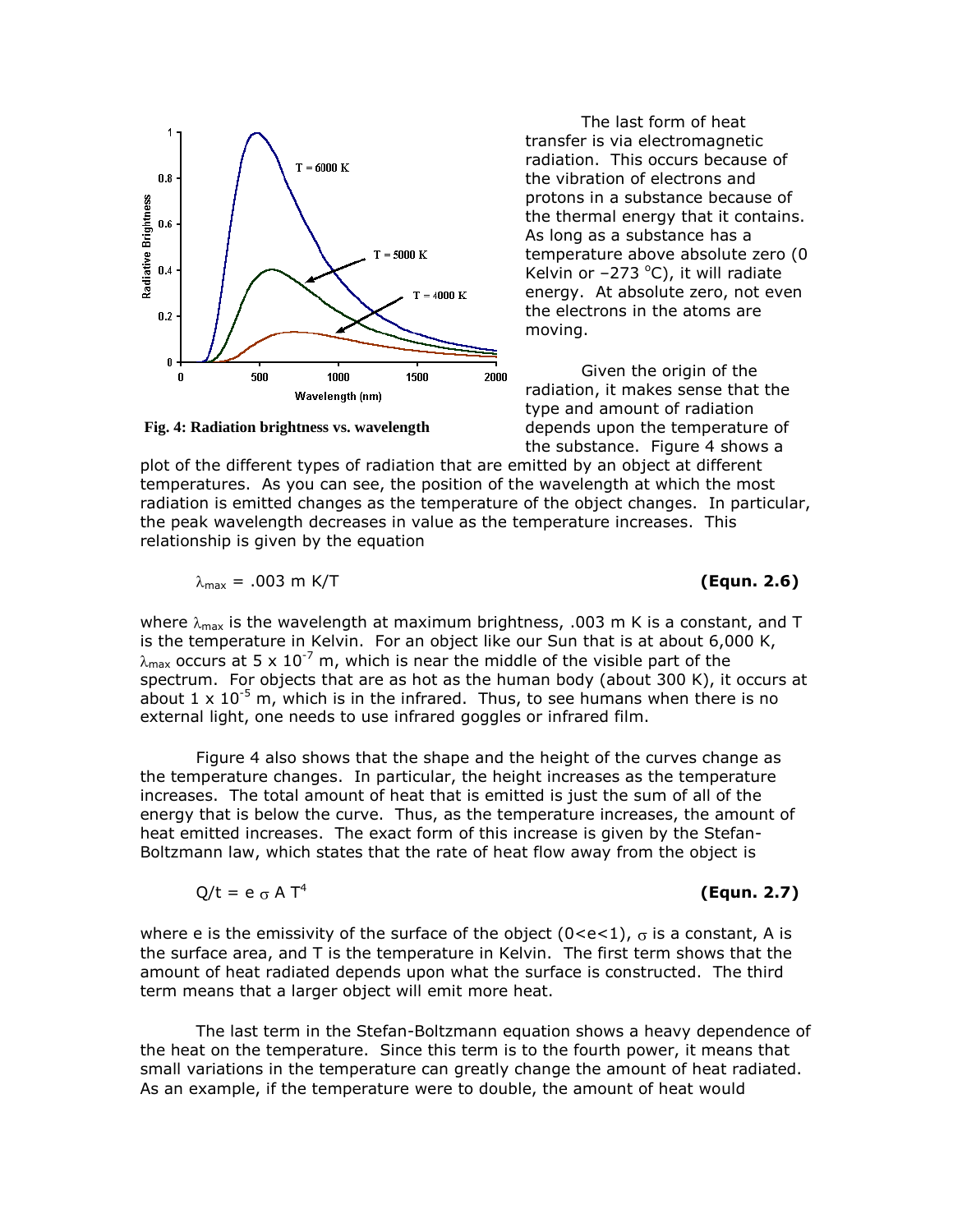

**Fig. 4: Radiation brightness vs. wavelength**

The last form of heat transfer is via electromagnetic radiation. This occurs because of the vibration of electrons and protons in a substance because of the thermal energy that it contains. As long as a substance has a temperature above absolute zero (0 Kelvin or  $-273$  °C), it will radiate energy. At absolute zero, not even the electrons in the atoms are moving.

Given the origin of the radiation, it makes sense that the type and amount of radiation depends upon the temperature of the substance. Figure 4 shows a

plot of the different types of radiation that are emitted by an object at different temperatures. As you can see, the position of the wavelength at which the most radiation is emitted changes as the temperature of the object changes. In particular, the peak wavelength decreases in value as the temperature increases. This relationship is given by the equation

$$
\lambda_{\text{max}} = .003 \text{ m K/T}
$$

**(Equn. 2.6)** 

where  $\lambda_{\text{max}}$  is the wavelength at maximum brightness, .003 m K is a constant, and T is the temperature in Kelvin. For an object like our Sun that is at about 6,000 K,  $\lambda_{\text{max}}$  occurs at 5 x 10<sup>-7</sup> m, which is near the middle of the visible part of the spectrum. For objects that are as hot as the human body (about 300 K), it occurs at about 1  $\times$  10<sup>-5</sup> m, which is in the infrared. Thus, to see humans when there is no external light, one needs to use infrared goggles or infrared film.

Figure 4 also shows that the shape and the height of the curves change as the temperature changes. In particular, the height increases as the temperature increases. The total amount of heat that is emitted is just the sum of all of the energy that is below the curve. Thus, as the temperature increases, the amount of heat emitted increases. The exact form of this increase is given by the Stefan-Boltzmann law, which states that the rate of heat flow away from the object is

$$
Q/t = e \sigma A T^4
$$

**(Equn. 2.7)**

where e is the emissivity of the surface of the object  $(0 < e < 1)$ ,  $\sigma$  is a constant, A is the surface area, and T is the temperature in Kelvin. The first term shows that the amount of heat radiated depends upon what the surface is constructed. The third term means that a larger object will emit more heat.

The last term in the Stefan-Boltzmann equation shows a heavy dependence of the heat on the temperature. Since this term is to the fourth power, it means that small variations in the temperature can greatly change the amount of heat radiated. As an example, if the temperature were to double, the amount of heat would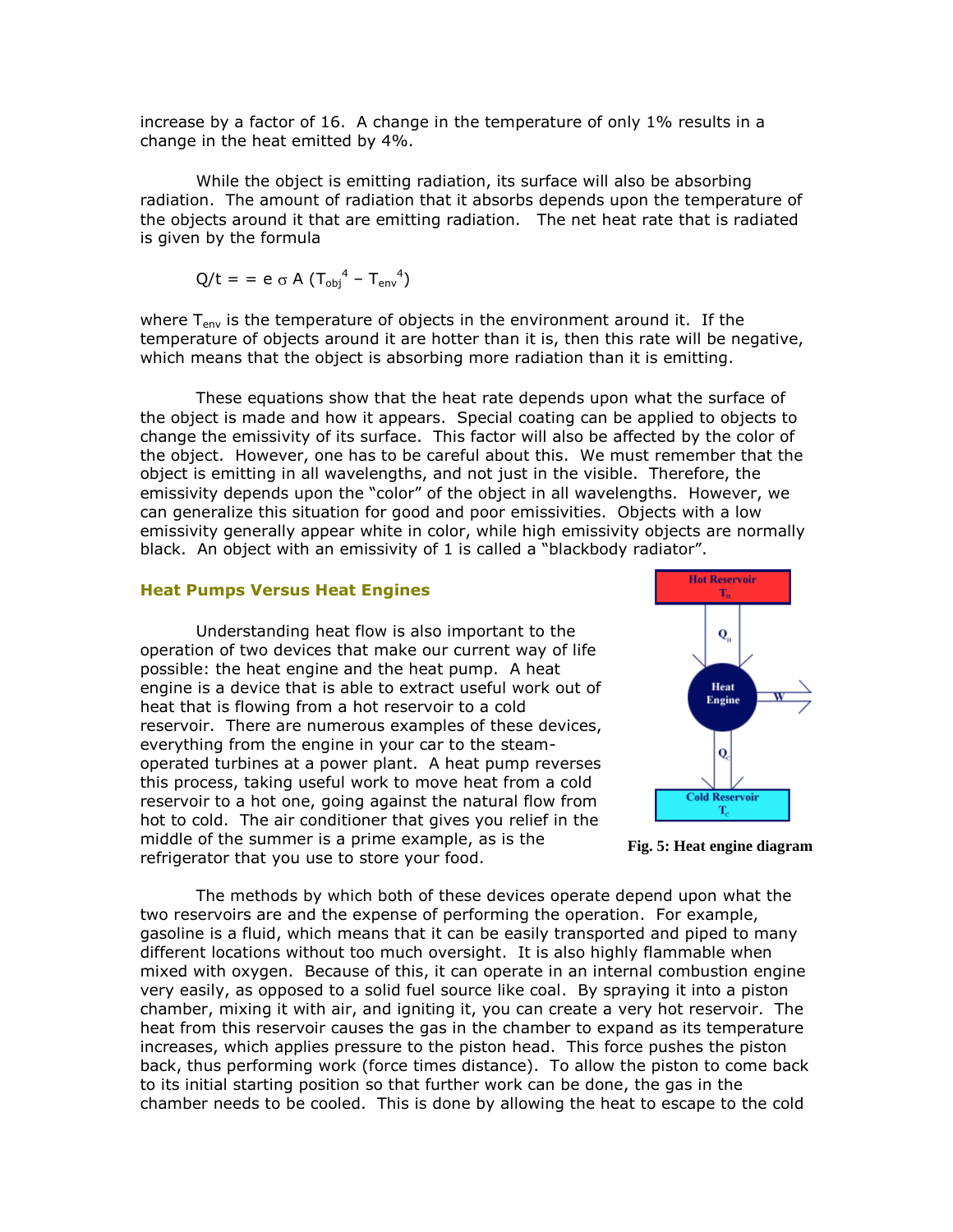increase by a factor of 16. A change in the temperature of only 1% results in a change in the heat emitted by 4%.

While the object is emitting radiation, its surface will also be absorbing radiation. The amount of radiation that it absorbs depends upon the temperature of the objects around it that are emitting radiation. The net heat rate that is radiated is given by the formula

$$
Q/t = e \circ A (T_{obj}^4 - T_{env}^4)
$$

where  $T_{env}$  is the temperature of objects in the environment around it. If the temperature of objects around it are hotter than it is, then this rate will be negative, which means that the object is absorbing more radiation than it is emitting.

These equations show that the heat rate depends upon what the surface of the object is made and how it appears. Special coating can be applied to objects to change the emissivity of its surface. This factor will also be affected by the color of the object. However, one has to be careful about this. We must remember that the object is emitting in all wavelengths, and not just in the visible. Therefore, the emissivity depends upon the "color" of the object in all wavelengths. However, we can generalize this situation for good and poor emissivities. Objects with a low emissivity generally appear white in color, while high emissivity objects are normally black. An object with an emissivity of 1 is called a "blackbody radiator".

#### **Heat Pumps Versus Heat Engines**

Understanding heat flow is also important to the operation of two devices that make our current way of life possible: the heat engine and the heat pump. A heat engine is a device that is able to extract useful work out of heat that is flowing from a hot reservoir to a cold reservoir. There are numerous examples of these devices, everything from the engine in your car to the steamoperated turbines at a power plant. A heat pump reverses this process, taking useful work to move heat from a cold reservoir to a hot one, going against the natural flow from hot to cold. The air conditioner that gives you relief in the middle of the summer is a prime example, as is the refrigerator that you use to store your food.





The methods by which both of these devices operate depend upon what the two reservoirs are and the expense of performing the operation. For example, gasoline is a fluid, which means that it can be easily transported and piped to many different locations without too much oversight. It is also highly flammable when mixed with oxygen. Because of this, it can operate in an internal combustion engine very easily, as opposed to a solid fuel source like coal. By spraying it into a piston chamber, mixing it with air, and igniting it, you can create a very hot reservoir. The heat from this reservoir causes the gas in the chamber to expand as its temperature increases, which applies pressure to the piston head. This force pushes the piston back, thus performing work (force times distance). To allow the piston to come back to its initial starting position so that further work can be done, the gas in the chamber needs to be cooled. This is done by allowing the heat to escape to the cold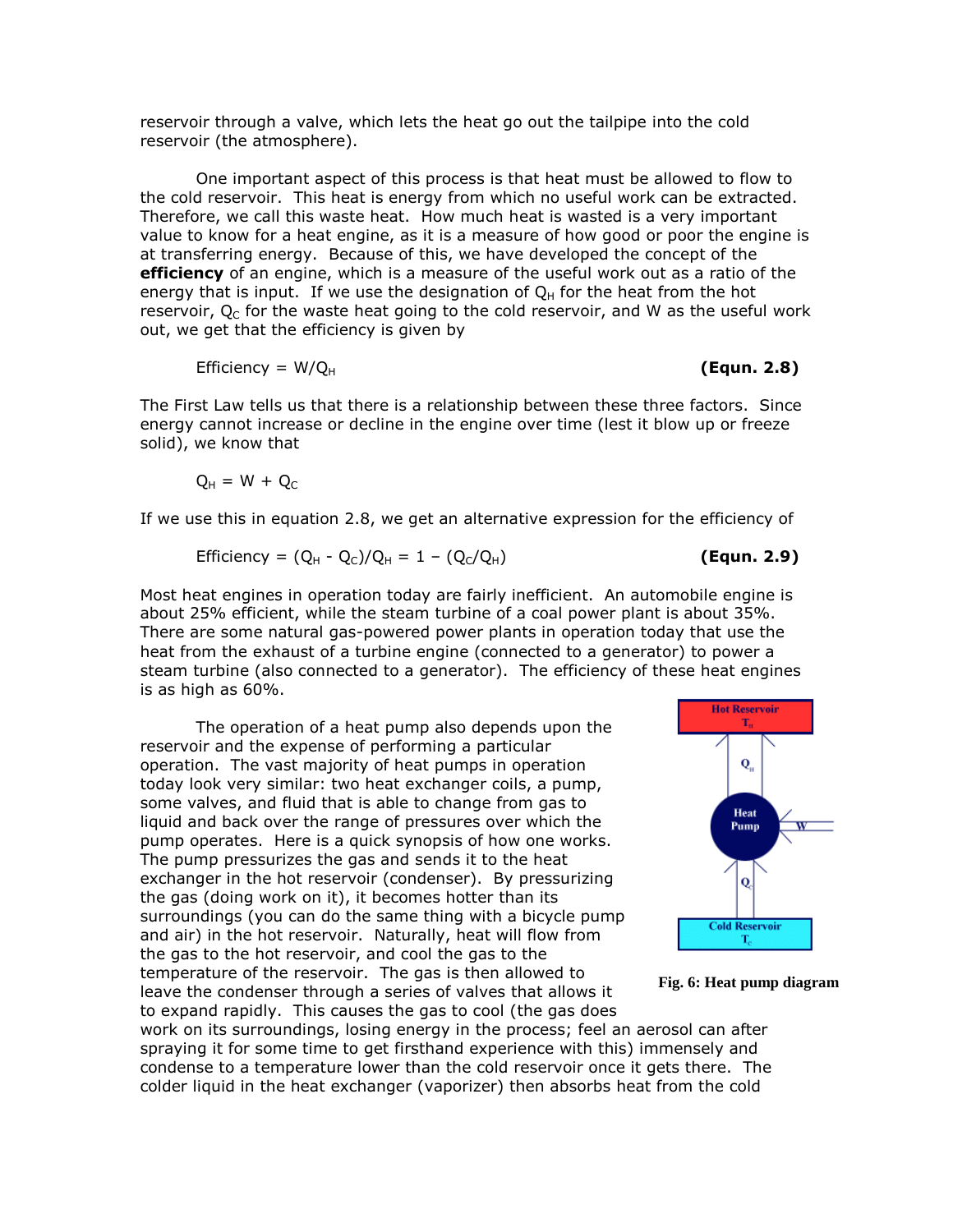reservoir through a valve, which lets the heat go out the tailpipe into the cold reservoir (the atmosphere).

One important aspect of this process is that heat must be allowed to flow to the cold reservoir. This heat is energy from which no useful work can be extracted. Therefore, we call this waste heat. How much heat is wasted is a very important value to know for a heat engine, as it is a measure of how good or poor the engine is at transferring energy. Because of this, we have developed the concept of the **efficiency** of an engine, which is a measure of the useful work out as a ratio of the energy that is input. If we use the designation of  $Q_H$  for the heat from the hot reservoir,  $Q_c$  for the waste heat going to the cold reservoir, and W as the useful work out, we get that the efficiency is given by

$$
Efficiency = W/QH \qquad (Equn. 2.8)
$$

The First Law tells us that there is a relationship between these three factors. Since energy cannot increase or decline in the engine over time (lest it blow up or freeze solid), we know that

$$
Q_H = W + Q_C
$$

If we use this in equation 2.8, we get an alternative expression for the efficiency of

$$
Efficiency = (Q_H - Q_C)/Q_H = 1 - (Q_C/Q_H)
$$
 (Equn. 2.9)

Most heat engines in operation today are fairly inefficient. An automobile engine is about 25% efficient, while the steam turbine of a coal power plant is about 35%. There are some natural gas-powered power plants in operation today that use the heat from the exhaust of a turbine engine (connected to a generator) to power a steam turbine (also connected to a generator). The efficiency of these heat engines is as high as 60%.

The operation of a heat pump also depends upon the reservoir and the expense of performing a particular operation. The vast majority of heat pumps in operation today look very similar: two heat exchanger coils, a pump, some valves, and fluid that is able to change from gas to liquid and back over the range of pressures over which the pump operates. Here is a quick synopsis of how one works. The pump pressurizes the gas and sends it to the heat exchanger in the hot reservoir (condenser). By pressurizing the gas (doing work on it), it becomes hotter than its surroundings (you can do the same thing with a bicycle pump and air) in the hot reservoir. Naturally, heat will flow from the gas to the hot reservoir, and cool the gas to the temperature of the reservoir. The gas is then allowed to leave the condenser through a series of valves that allows it to expand rapidly. This causes the gas to cool (the gas does





work on its surroundings, losing energy in the process; feel an aerosol can after spraying it for some time to get firsthand experience with this) immensely and condense to a temperature lower than the cold reservoir once it gets there. The colder liquid in the heat exchanger (vaporizer) then absorbs heat from the cold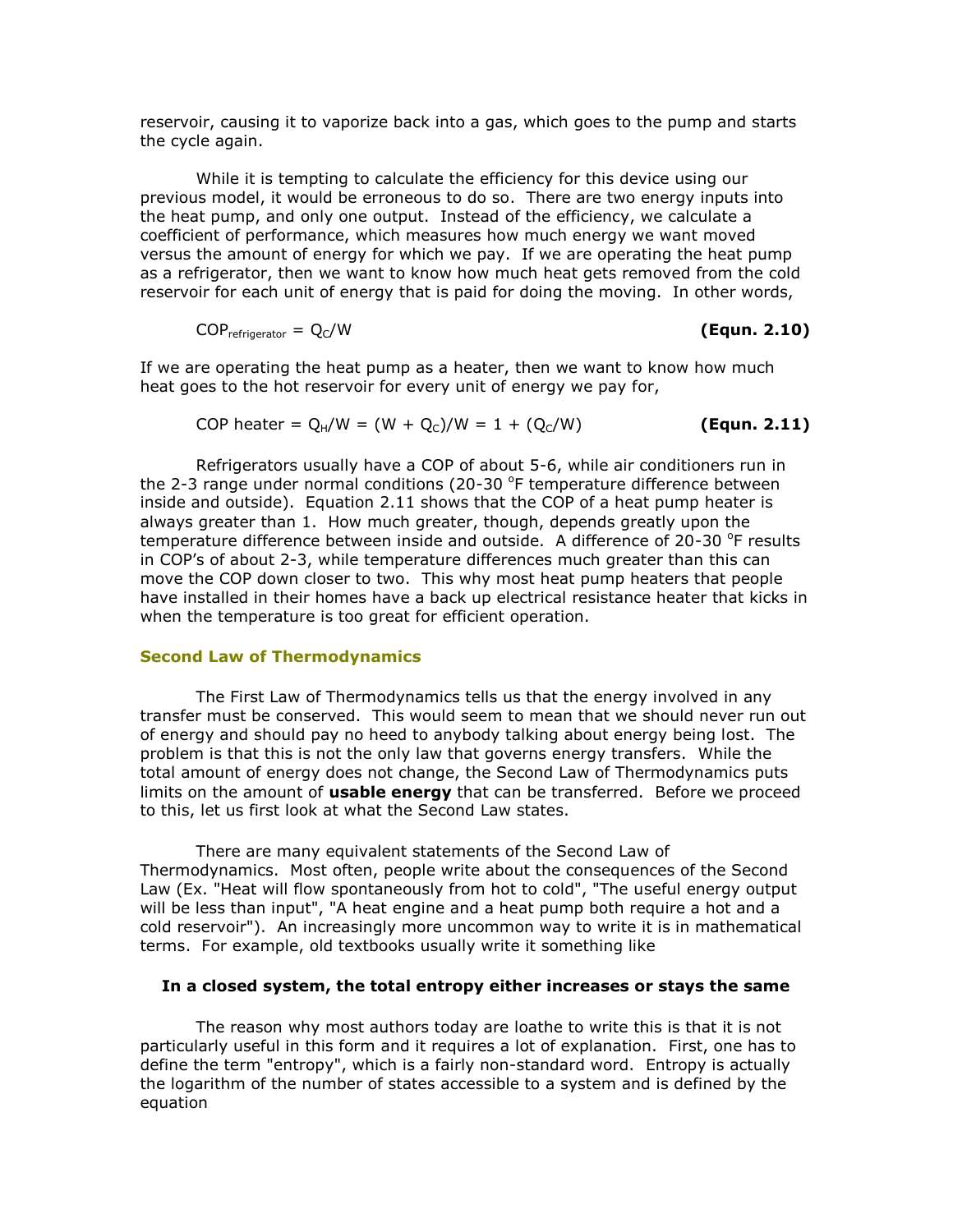reservoir, causing it to vaporize back into a gas, which goes to the pump and starts the cycle again.

While it is tempting to calculate the efficiency for this device using our previous model, it would be erroneous to do so. There are two energy inputs into the heat pump, and only one output. Instead of the efficiency, we calculate a coefficient of performance, which measures how much energy we want moved versus the amount of energy for which we pay. If we are operating the heat pump as a refrigerator, then we want to know how much heat gets removed from the cold reservoir for each unit of energy that is paid for doing the moving. In other words,

$$
COP_{refrigerator} = Q_C/W
$$
 (Equn. 2.10)

If we are operating the heat pump as a heater, then we want to know how much heat goes to the hot reservoir for every unit of energy we pay for,

COP heater = 
$$
Q_H/W = (W + Q_c)/W = 1 + (Q_c/W)
$$
 (Equn. 2.11)

Refrigerators usually have a COP of about 5-6, while air conditioners run in the 2-3 range under normal conditions (20-30  $\textdegree$ F temperature difference between inside and outside). Equation 2.11 shows that the COP of a heat pump heater is always greater than 1. How much greater, though, depends greatly upon the temperature difference between inside and outside. A difference of 20-30  $\textdegree$ F results in COP's of about 2-3, while temperature differences much greater than this can move the COP down closer to two. This why most heat pump heaters that people have installed in their homes have a back up electrical resistance heater that kicks in when the temperature is too great for efficient operation.

#### **Second Law of Thermodynamics**

The First Law of Thermodynamics tells us that the energy involved in any transfer must be conserved. This would seem to mean that we should never run out of energy and should pay no heed to anybody talking about energy being lost. The problem is that this is not the only law that governs energy transfers. While the total amount of energy does not change, the Second Law of Thermodynamics puts limits on the amount of **usable energy** that can be transferred. Before we proceed to this, let us first look at what the Second Law states.

There are many equivalent statements of the Second Law of Thermodynamics. Most often, people write about the consequences of the Second Law (Ex. "Heat will flow spontaneously from hot to cold", "The useful energy output will be less than input", "A heat engine and a heat pump both require a hot and a cold reservoir"). An increasingly more uncommon way to write it is in mathematical terms. For example, old textbooks usually write it something like

#### **In a closed system, the total entropy either increases or stays the same**

The reason why most authors today are loathe to write this is that it is not particularly useful in this form and it requires a lot of explanation. First, one has to define the term "entropy", which is a fairly non-standard word. Entropy is actually the logarithm of the number of states accessible to a system and is defined by the equation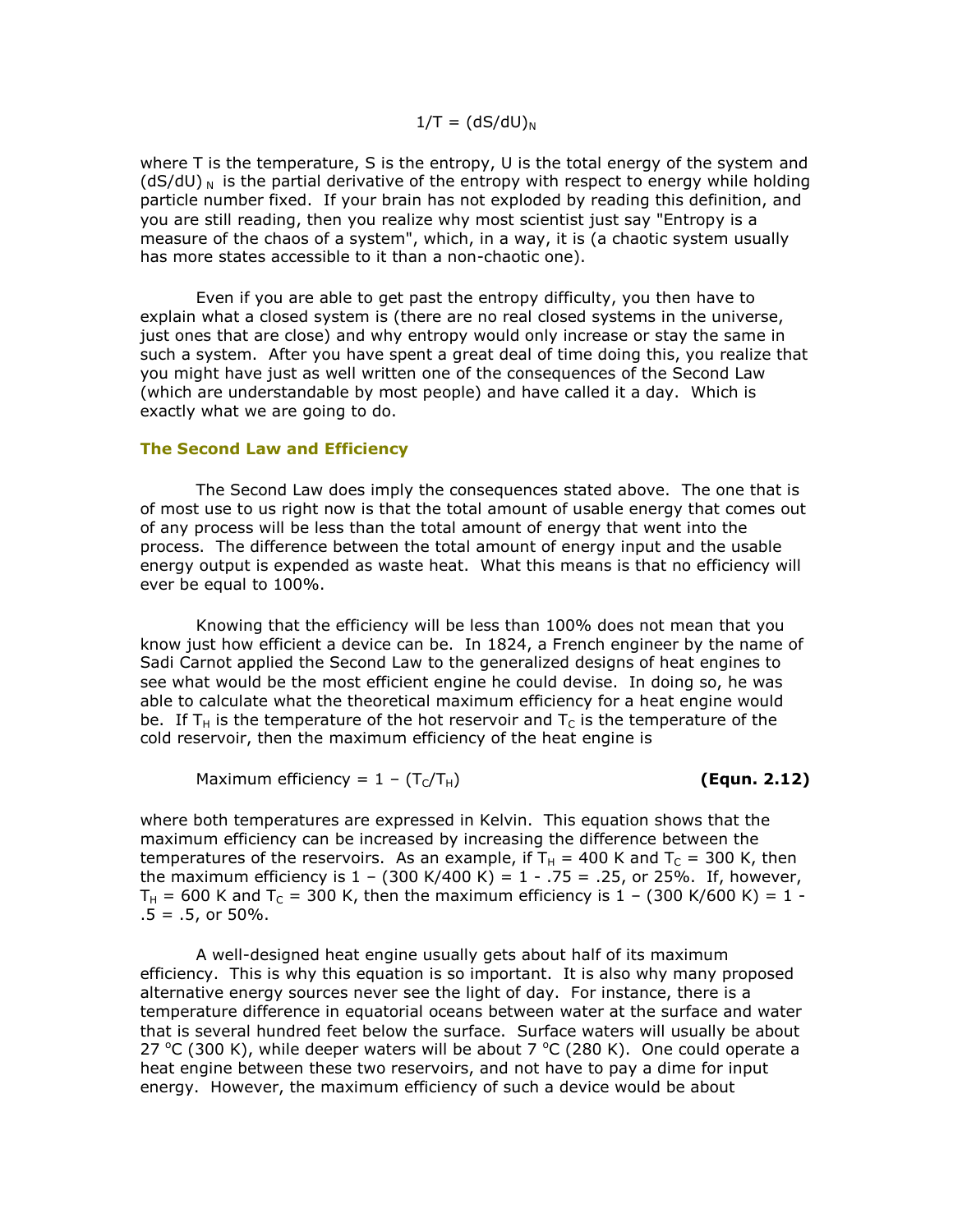#### $1/T = (dS/dU)_N$

where T is the temperature, S is the entropy, U is the total energy of the system and  $(dS/dU)$ <sub>N</sub> is the partial derivative of the entropy with respect to energy while holding particle number fixed. If your brain has not exploded by reading this definition, and you are still reading, then you realize why most scientist just say "Entropy is a measure of the chaos of a system", which, in a way, it is (a chaotic system usually has more states accessible to it than a non-chaotic one).

Even if you are able to get past the entropy difficulty, you then have to explain what a closed system is (there are no real closed systems in the universe, just ones that are close) and why entropy would only increase or stay the same in such a system. After you have spent a great deal of time doing this, you realize that you might have just as well written one of the consequences of the Second Law (which are understandable by most people) and have called it a day. Which is exactly what we are going to do.

#### **The Second Law and Efficiency**

The Second Law does imply the consequences stated above. The one that is of most use to us right now is that the total amount of usable energy that comes out of any process will be less than the total amount of energy that went into the process. The difference between the total amount of energy input and the usable energy output is expended as waste heat. What this means is that no efficiency will ever be equal to 100%.

Knowing that the efficiency will be less than 100% does not mean that you know just how efficient a device can be. In 1824, a French engineer by the name of Sadi Carnot applied the Second Law to the generalized designs of heat engines to see what would be the most efficient engine he could devise. In doing so, he was able to calculate what the theoretical maximum efficiency for a heat engine would be. If T<sub>H</sub> is the temperature of the hot reservoir and T<sub>C</sub> is the temperature of the cold reservoir, then the maximum efficiency of the heat engine is

Maximum efficiency = 
$$
1 - (T_C/T_H)
$$
 (Equn. 2.12)

where both temperatures are expressed in Kelvin. This equation shows that the maximum efficiency can be increased by increasing the difference between the temperatures of the reservoirs. As an example, if  $T_H = 400$  K and  $T_C = 300$  K, then the maximum efficiency is  $1 - (300 \text{ K}/400 \text{ K}) = 1 - .75 = .25$ , or 25%. If, however,  $T_{H}$  = 600 K and T<sub>C</sub> = 300 K, then the maximum efficiency is 1 - (300 K/600 K) = 1 - $.5 = .5$ , or 50%.

A well-designed heat engine usually gets about half of its maximum efficiency. This is why this equation is so important. It is also why many proposed alternative energy sources never see the light of day. For instance, there is a temperature difference in equatorial oceans between water at the surface and water that is several hundred feet below the surface. Surface waters will usually be about 27 °C (300 K), while deeper waters will be about 7 °C (280 K). One could operate a heat engine between these two reservoirs, and not have to pay a dime for input energy. However, the maximum efficiency of such a device would be about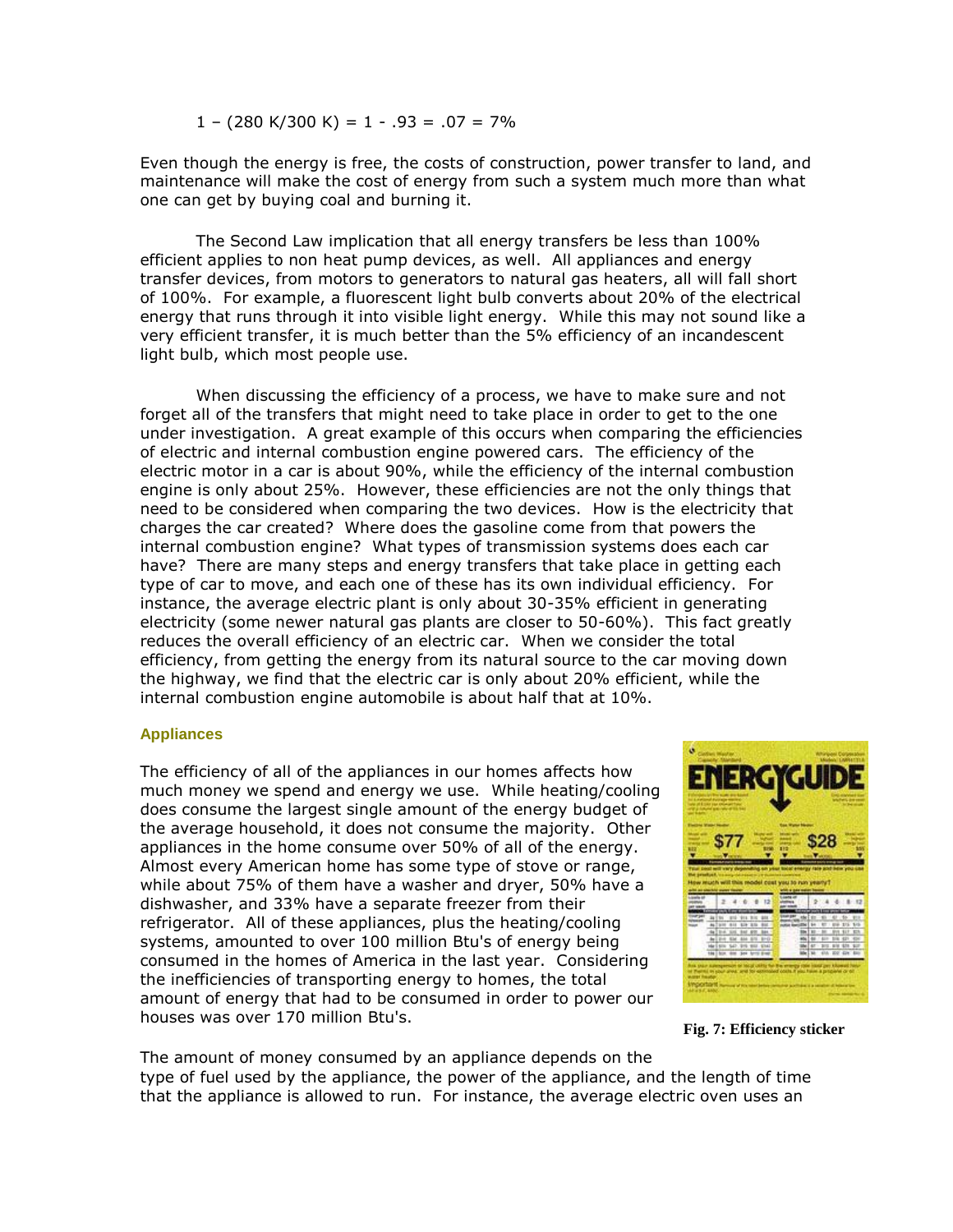$1 - (280 \text{ K}/300 \text{ K}) = 1 - .93 = .07 = 7\%$ 

Even though the energy is free, the costs of construction, power transfer to land, and maintenance will make the cost of energy from such a system much more than what one can get by buying coal and burning it.

The Second Law implication that all energy transfers be less than 100% efficient applies to non heat pump devices, as well. All appliances and energy transfer devices, from motors to generators to natural gas heaters, all will fall short of 100%. For example, a fluorescent light bulb converts about 20% of the electrical energy that runs through it into visible light energy. While this may not sound like a very efficient transfer, it is much better than the 5% efficiency of an incandescent light bulb, which most people use.

When discussing the efficiency of a process, we have to make sure and not forget all of the transfers that might need to take place in order to get to the one under investigation. A great example of this occurs when comparing the efficiencies of electric and internal combustion engine powered cars. The efficiency of the electric motor in a car is about 90%, while the efficiency of the internal combustion engine is only about 25%. However, these efficiencies are not the only things that need to be considered when comparing the two devices. How is the electricity that charges the car created? Where does the gasoline come from that powers the internal combustion engine? What types of transmission systems does each car have? There are many steps and energy transfers that take place in getting each type of car to move, and each one of these has its own individual efficiency. For instance, the average electric plant is only about 30-35% efficient in generating electricity (some newer natural gas plants are closer to 50-60%). This fact greatly reduces the overall efficiency of an electric car. When we consider the total efficiency, from getting the energy from its natural source to the car moving down the highway, we find that the electric car is only about 20% efficient, while the internal combustion engine automobile is about half that at 10%.

#### **Appliances**

The efficiency of all of the appliances in our homes affects how much money we spend and energy we use. While heating/cooling does consume the largest single amount of the energy budget of the average household, it does not consume the majority. Other appliances in the home consume over 50% of all of the energy. Almost every American home has some type of stove or range, while about 75% of them have a washer and dryer, 50% have a dishwasher, and 33% have a separate freezer from their refrigerator. All of these appliances, plus the heating/cooling systems, amounted to over 100 million Btu's of energy being consumed in the homes of America in the last year. Considering the inefficiencies of transporting energy to homes, the total amount of energy that had to be consumed in order to power our houses was over 170 million Btu's.



**Fig. 7: Efficiency sticker**

The amount of money consumed by an appliance depends on the type of fuel used by the appliance, the power of the appliance, and the length of time that the appliance is allowed to run. For instance, the average electric oven uses an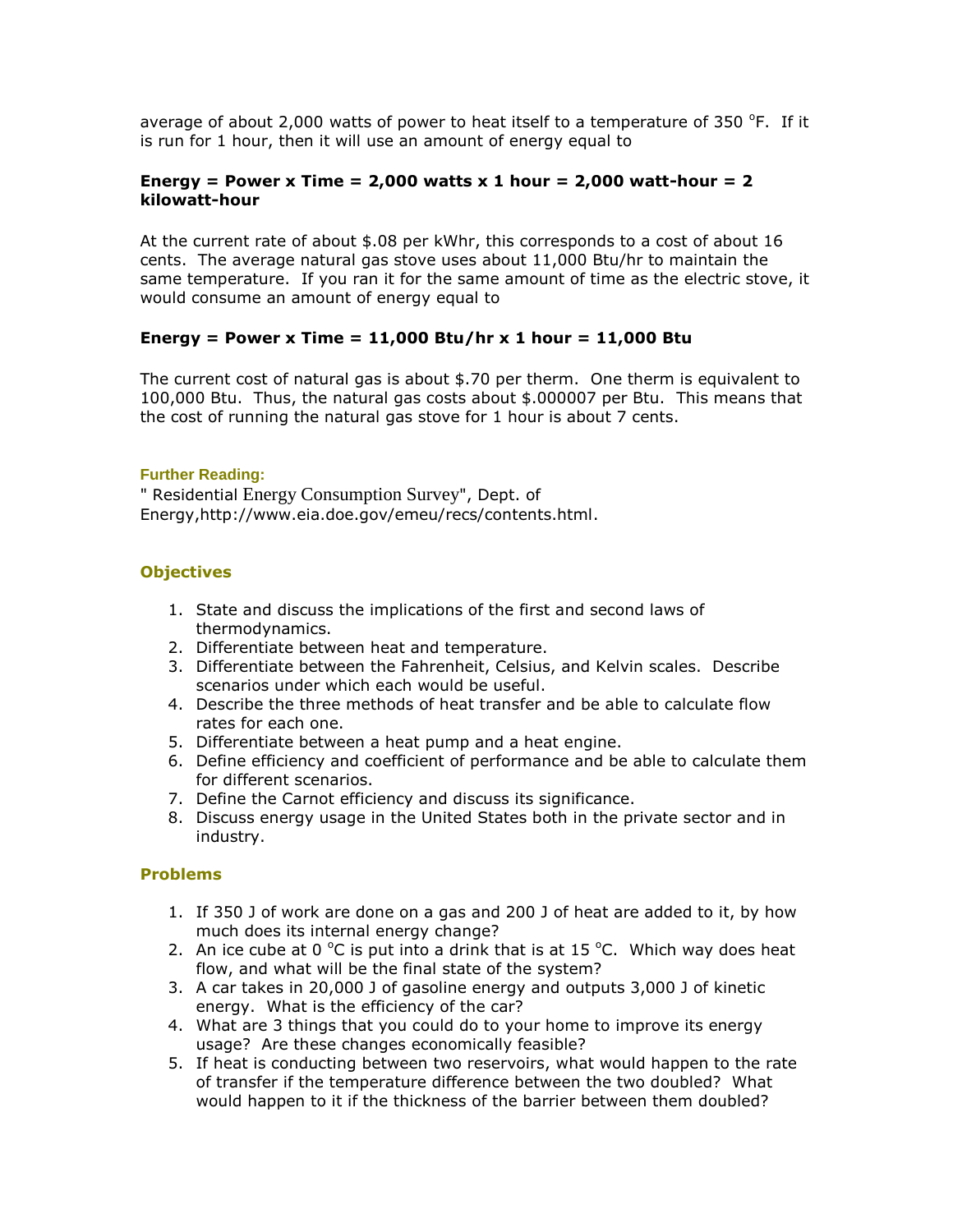average of about 2,000 watts of power to heat itself to a temperature of 350  $\degree$ F. If it is run for 1 hour, then it will use an amount of energy equal to

## **Energy = Power x Time = 2,000 watts x 1 hour = 2,000 watt-hour = 2 kilowatt-hour**

At the current rate of about \$.08 per kWhr, this corresponds to a cost of about 16 cents. The average natural gas stove uses about 11,000 Btu/hr to maintain the same temperature. If you ran it for the same amount of time as the electric stove, it would consume an amount of energy equal to

# **Energy = Power x Time = 11,000 Btu/hr x 1 hour = 11,000 Btu**

The current cost of natural gas is about \$.70 per therm. One therm is equivalent to 100,000 Btu. Thus, the natural gas costs about \$.000007 per Btu. This means that the cost of running the natural gas stove for 1 hour is about 7 cents.

## **Further Reading:**

" Residential Energy Consumption Survey", Dept. of Energy,http://www.eia.doe.gov/emeu/recs/contents.html.

## **Objectives**

- 1. State and discuss the implications of the first and second laws of thermodynamics.
- 2. Differentiate between heat and temperature.
- 3. Differentiate between the Fahrenheit, Celsius, and Kelvin scales. Describe scenarios under which each would be useful.
- 4. Describe the three methods of heat transfer and be able to calculate flow rates for each one.
- 5. Differentiate between a heat pump and a heat engine.
- 6. Define efficiency and coefficient of performance and be able to calculate them for different scenarios.
- 7. Define the Carnot efficiency and discuss its significance.
- 8. Discuss energy usage in the United States both in the private sector and in industry.

#### **Problems**

- 1. If 350 J of work are done on a gas and 200 J of heat are added to it, by how much does its internal energy change?
- 2. An ice cube at 0  $^{\circ}$ C is put into a drink that is at 15  $^{\circ}$ C. Which way does heat flow, and what will be the final state of the system?
- 3. A car takes in 20,000 J of gasoline energy and outputs 3,000 J of kinetic energy. What is the efficiency of the car?
- 4. What are 3 things that you could do to your home to improve its energy usage? Are these changes economically feasible?
- 5. If heat is conducting between two reservoirs, what would happen to the rate of transfer if the temperature difference between the two doubled? What would happen to it if the thickness of the barrier between them doubled?